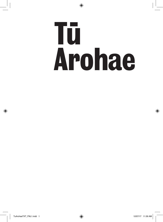# **Arohae Tu**

 $\bigcirc$ 

◈

◈

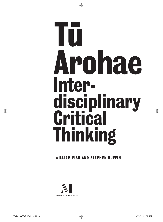## **Arohae Tu Interdisciplinary Critical Thinking**

◈

### **WILLIAM FISH AND STEPHEN DUFFIN**



◈

♠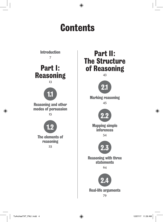

79

◈

◈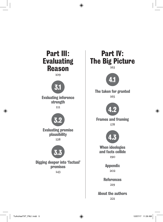

◈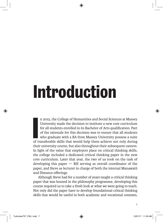### **Introduction**

◈

In 2015, the College of Humanities and Social Sciences at Massey<br>University made the decision to institute a new core curriculum<br>for all students enrolled in its Bachelor of Arts qualification. Part<br>of the rationale for th n 2015, the College of Humanities and Social Sciences at Massey University made the decision to institute a new core curriculum for all students enrolled in its Bachelor of Arts qualification. Part of the rationale for this decision was to ensure that all students who graduate with a BA from Massey University possess a suite their university course, but also throughout their subsequent careers. In light of the value that employers place on critical thinking skills, the college included a dedicated critical thinking paper in the new core curriculum. Later that year, the two of us took on the task of developing this paper  $-$  Bill serving as overall coordinator of the paper, and Steve as lecturer in charge of both the internal Manawatū and Distance offerings.

Although Steve had for a number of years taught a critical thinking paper that was housed in the philosophy programme, developing this course required us to take a fresh look at what we were going to teach. Not only did the paper have to develop foundational critical thinking skills that would be useful in both academic and vocational contexts,

**7**

◈

◈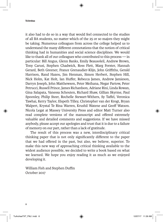### **Tu Arohae**

it also had to do so in a way that would feel connected to the studies of all BA students, no matter which of the 25 or so majors they might be taking. Numerous colleagues from across the college helped us to understand the many different connotations that the notion of critical thinking had in humanities and social science disciplines. We would like to thank all of our colleagues who contributed to this process — in particular: Bill Angus, Glenn Banks, Emily Beausoleil, Andrew Brown, Tony Carusi, Stephen Chadwick, Ross Flett, Marg Forster, Hannah Gerard, Beth Greener, France Grenaudier-Klijn, John Griffiths, Gerald Harrison, Rand Hazou, Jim Henman, Simon Herbert, Stephen Hill, Nick Holm, Kat Holt, Ian Huffer, Rebecca James, Andrew Jamieson, Darryn Joseph, John Matthewson, Peter Meihana, Negar Partow, Peter Petrucci, Russell Prince, James Richardson, Adriane Rini, Linda Rowan, Gina Salapata, Vanessa Schouten, Richard Shaw, Gillian Skyrme, Paul Spoonley, Philip Steer, Rochelle Stewart-Withers, Sy Taffel, Veronica Tawhai, Kerry Taylor, Elspeth Tilley, Christopher van der Krogt, Bryan Walpert, Krystal Te Rina Warren, Krushil Watene and Geoff Watson. Nicola Legat at Massey University Press and editor Matt Turner also read complete versions of the manuscript and offered extremely valuable and detailed comments and suggestions. If we have missed anybody, please accept our apologies and trust that it is due to a failure of memory on our part, rather than a lack of gratitude.

 $\bigoplus$ 

The result of this process was a new, interdisciplinary critical thinking paper that is not only significantly different to the paper that we had offered in the past, but also, we believe, superior. To make this new way of approaching critical thinking available to the widest audience possible, we decided to write a book based on what we learned. We hope you enjoy reading it as much as we enjoyed developing it.

William Fish and Stephen Duffin October 2017

◈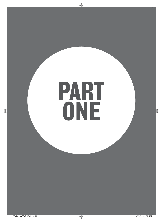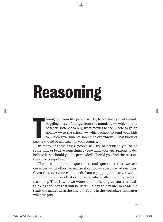### **Reasoning**

**The allowable should be allowed into your should be allowed into your country.<br>
<b>The allowed into your country.**<br> **The allowed into your country.**<br> **The allowed into your country.** hroughout your life, people will try to convince you of a mindboggling array of things, from the mundane — which brand of fabric softener to buy, what movies to see, where to go on holiday — to the critical — which school to send your kids to, which governments should be overthrown, what kinds of

⊕

In many of these cases, people will try to persuade you to do something or believe something by providing you with reasons to do/ believe it. So should you be persuaded? Should you find the reasons they give compelling?

These are important questions, and questions that we ask ourselves — whether we realise it or not — every day of our lives. Given this, everyone can benefit from equipping themselves with a set of precision tools that can be used when called upon to evaluate reasoning. That is why we wrote this book: to give you a criticalthinking tool box that will be useful in day-to-day life, in academic study (no matter what the discipline), and in the workplace (no matter what the job).

◈